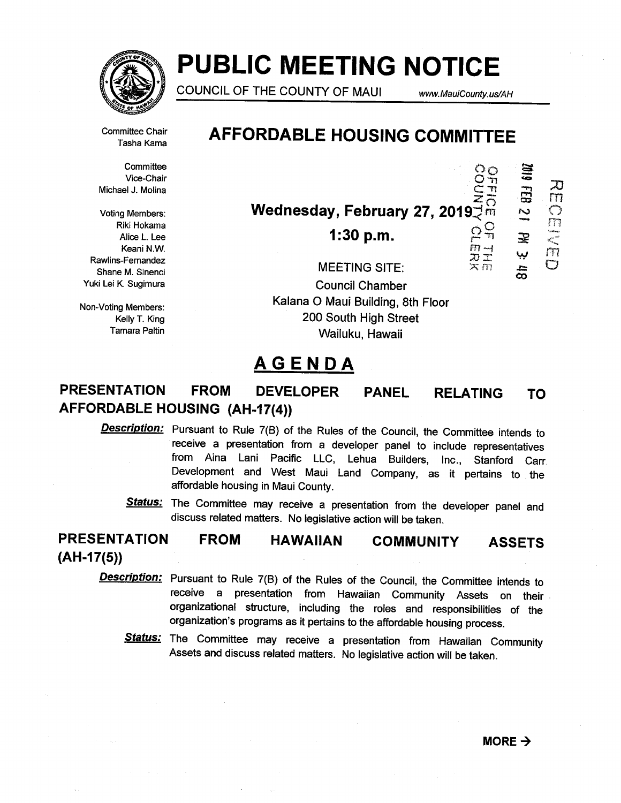

# PUBLIC MEETING NOTICE

COUNCIL OF THE COUNTY OF MAUI www.MauiCounty.us/AH

0<br>01110<br>0<br>0<br>0<br>0

ਨ<br>ਹ C)

**SIOZ** 

宝

m IT?  $\overline{\mathbb{C}}$ 

in<br>D.T

 $\overline{Q}$ 

Committee Chair Tasha Kama

**Committee** Vice-Chair Michael J. Molina

Voting Members: Riki Hokama Alice L. Lee Keani N.W. Rawlins-Fernandez Shane M. Sinenci Yuki Lei K. Sugimura

Non-Voting Members: Kelly T. King **Tamara Paltin** 

# AFFORDABLE HOUSING COMMITTEE

Wednesday, February 27, 2019 $\overline{P}^{\text{G}}_{\text{m}}$ <br>1:30 p.m. 29

 $1:30 p.m.$ 

MEETING SITE:  $\times m$ Council Chamber Kalana 0 Maui Building, 8th Floor 200 South High Street Wailuku, Hawaii

# AGENDA

### PANEL RELATING PRESENTATION FROM DEVELOPER AFFORDABLE HOUSING (AH-17(4)) TO

**Description:** Pursuant to Rule 7(B) of the Rules of the Council, the Committee intends to receive a presentation from a developer panel to include representatives from Ama Lani Pacific LLC, Lehua Builders, Inc., Stanford Carr, Development and West Maui Land Company, as it pertains to the affordable housing in Maui County.

Status: The Committee may receive a presentation from the developer panel and discuss related matters. No legislative action will be taken.

 $(AH-17(5))$ FROM PRESENTATION HAWAIIAN COMMUNITY ASSETS

- **Description:** Pursuant to Rule 7(B) of the Rules of the Council, the Committee intends to receive a presentation from Hawaiian Community Assets on their organizational structure, including the roles and responsibilities of the organization's programs as it pertains to the affordable housing process.
	- Status: The Committee may receive a presentation from Hawaiian Community Assets and discuss related matters. No legislative action will be taken.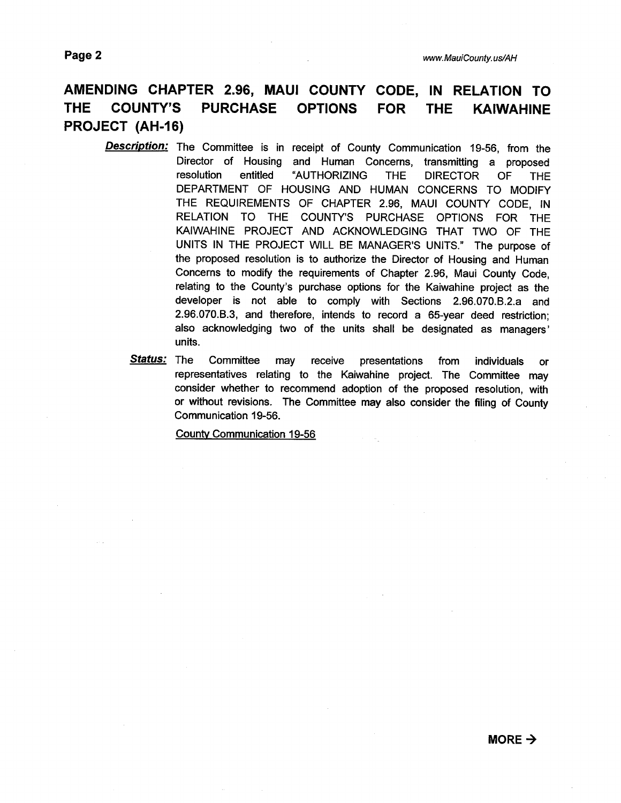# AMENDING CHAPTER 2.96, MAUI COUNTY CODE, IN RELATION TO THE COUNTY'S PURCHASE OPTIONS FOR THE KAIWAHINE PROJECT (AH-16)

- **Description:** The Committee is in receipt of County Communication 19-56, from the Director of Housing and Human Concerns, transmitting a proposed resolution entitled "AUTHORIZING THE DIRECTOR OF THE DEPARTMENT OF HOUSING AND HUMAN CONCERNS TO MODIFY THE REQUIREMENTS OF CHAPTER 2.96, MAUI COUNTY CODE, IN RELATION TO THE COUNTY'S PURCHASE OPTIONS FOR THE KAIWAHINE PROJECT AND ACKNOWLEDGING THAT TWO OF THE UNITS IN THE PROJECT WILL BE MANAGER'S UNITS." The purpose of the proposed resolution is to authorize the Director of Housing and Human Concerns to modify the requirements of Chapter 2.96, Maui County Code, relating to the County's purchase options for the Kaiwahine project as the developer is not able to comply with Sections 2.96.070.B.2.a and 2.96.070.B.3, and therefore, intends to record a 65-year deed restriction; also acknowledging two of the units shall be designated as managers' units.
	- Status: The Committee may receive presentations from individuals or representatives relating to the Kaiwahine project. The Committee may consider whether to recommend adoption of the proposed resolution, with or without revisions. The Committee may also consider the filing of County Communication 19-56.

County Communication 19-56